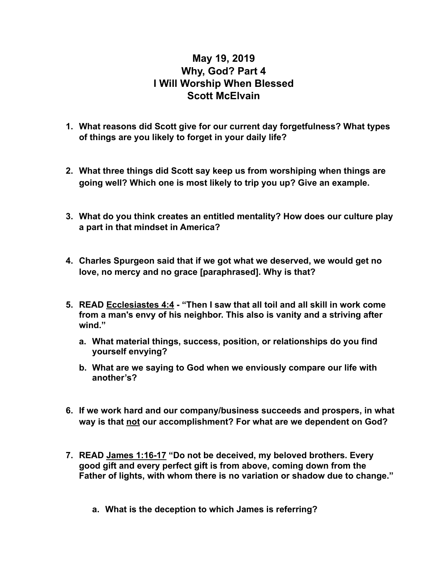## **May 19, 2019 Why, God? Part 4 I Will Worship When Blessed Scott McElvain**

- **1. What reasons did Scott give for our current day forgetfulness? What types of things are you likely to forget in your daily life?**
- **2. What three things did Scott say keep us from worshiping when things are going well? Which one is most likely to trip you up? Give an example.**
- **3. What do you think creates an entitled mentality? How does our culture play a part in that mindset in America?**
- **4. Charles Spurgeon said that if we got what we deserved, we would get no love, no mercy and no grace [paraphrased]. Why is that?**
- **5. READ Ecclesiastes 4:4 "Then I saw that all toil and all skill in work come from a man's envy of his neighbor. This also is vanity and a striving after wind."** 
	- **a. What material things, success, position, or relationships do you find yourself envying?**
	- **b. What are we saying to God when we enviously compare our life with another's?**
- **6. If we work hard and our company/business succeeds and prospers, in what way is that not our accomplishment? For what are we dependent on God?**
- **7. READ James 1:16-17 "Do not be deceived, my beloved brothers. Every good gift and every perfect gift is from above, coming down from the Father of lights, with whom there is no variation or shadow due to change."**
	- **a. What is the deception to which James is referring?**